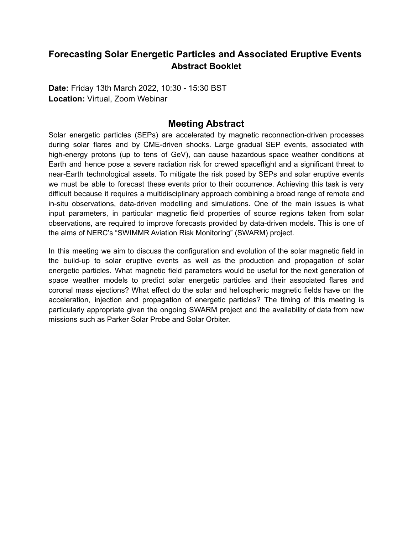## **Forecasting Solar Energetic Particles and Associated Eruptive Events Abstract Booklet**

**Date:** Friday 13th March 2022, 10:30 - 15:30 BST **Location:** Virtual, Zoom Webinar

## **Meeting Abstract**

Solar energetic particles (SEPs) are accelerated by magnetic reconnection-driven processes during solar flares and by CME-driven shocks. Large gradual SEP events, associated with high-energy protons (up to tens of GeV), can cause hazardous space weather conditions at Earth and hence pose a severe radiation risk for crewed spaceflight and a significant threat to near-Earth technological assets. To mitigate the risk posed by SEPs and solar eruptive events we must be able to forecast these events prior to their occurrence. Achieving this task is very difficult because it requires a multidisciplinary approach combining a broad range of remote and in-situ observations, data-driven modelling and simulations. One of the main issues is what input parameters, in particular magnetic field properties of source regions taken from solar observations, are required to improve forecasts provided by data-driven models. This is one of the aims of NERC's "SWIMMR Aviation Risk Monitoring" (SWARM) project.

In this meeting we aim to discuss the configuration and evolution of the solar magnetic field in the build-up to solar eruptive events as well as the production and propagation of solar energetic particles. What magnetic field parameters would be useful for the next generation of space weather models to predict solar energetic particles and their associated flares and coronal mass ejections? What effect do the solar and heliospheric magnetic fields have on the acceleration, injection and propagation of energetic particles? The timing of this meeting is particularly appropriate given the ongoing SWARM project and the availability of data from new missions such as Parker Solar Probe and Solar Orbiter.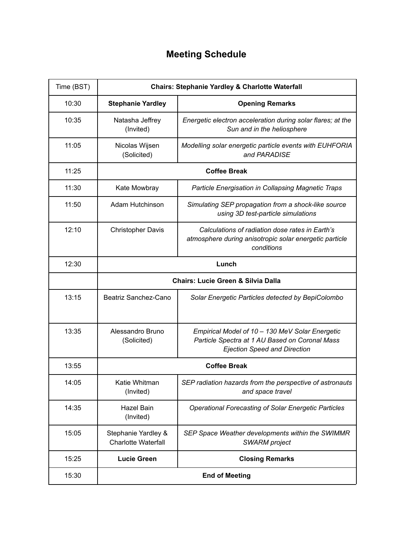# **Meeting Schedule**

| Time (BST) | <b>Chairs: Stephanie Yardley &amp; Charlotte Waterfall</b> |                                                                                                                                          |
|------------|------------------------------------------------------------|------------------------------------------------------------------------------------------------------------------------------------------|
| 10:30      | <b>Stephanie Yardley</b>                                   | <b>Opening Remarks</b>                                                                                                                   |
| 10:35      | Natasha Jeffrey<br>(Invited)                               | Energetic electron acceleration during solar flares; at the<br>Sun and in the heliosphere                                                |
| 11:05      | Nicolas Wijsen<br>(Solicited)                              | Modelling solar energetic particle events with EUHFORIA<br>and PARADISE                                                                  |
| 11:25      | <b>Coffee Break</b>                                        |                                                                                                                                          |
| 11:30      | Kate Mowbray                                               | Particle Energisation in Collapsing Magnetic Traps                                                                                       |
| 11:50      | Adam Hutchinson                                            | Simulating SEP propagation from a shock-like source<br>using 3D test-particle simulations                                                |
| 12:10      | <b>Christopher Davis</b>                                   | Calculations of radiation dose rates in Earth's<br>atmosphere during anisotropic solar energetic particle<br>conditions                  |
| 12:30      | Lunch                                                      |                                                                                                                                          |
|            | <b>Chairs: Lucie Green &amp; Silvia Dalla</b>              |                                                                                                                                          |
| 13:15      | Beatriz Sanchez-Cano                                       | Solar Energetic Particles detected by BepiColombo                                                                                        |
| 13:35      | Alessandro Bruno<br>(Solicited)                            | Empirical Model of 10 - 130 MeV Solar Energetic<br>Particle Spectra at 1 AU Based on Coronal Mass<br><b>Ejection Speed and Direction</b> |
| 13:55      | <b>Coffee Break</b>                                        |                                                                                                                                          |
| 14:05      | Katie Whitman<br>(Invited)                                 | SEP radiation hazards from the perspective of astronauts<br>and space travel                                                             |
| 14:35      | Hazel Bain<br>(Invited)                                    | <b>Operational Forecasting of Solar Energetic Particles</b>                                                                              |
| 15:05      | Stephanie Yardley &<br><b>Charlotte Waterfall</b>          | SEP Space Weather developments within the SWIMMR<br><b>SWARM</b> project                                                                 |
| 15:25      | <b>Lucie Green</b>                                         | <b>Closing Remarks</b>                                                                                                                   |
| 15:30      | <b>End of Meeting</b>                                      |                                                                                                                                          |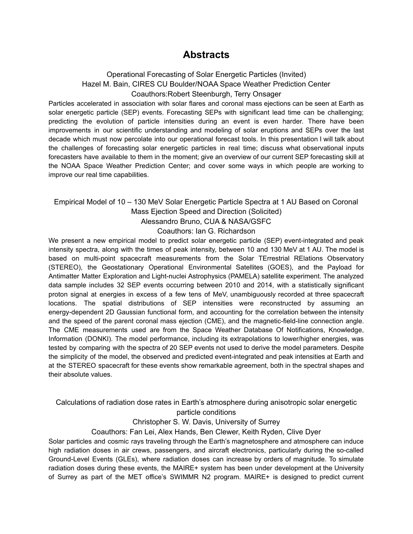## **Abstracts**

### Operational Forecasting of Solar Energetic Particles (Invited) Hazel M. Bain, CIRES CU Boulder/NOAA Space Weather Prediction Center Coauthors:Robert Steenburgh, Terry Onsager

Particles accelerated in association with solar flares and coronal mass ejections can be seen at Earth as solar energetic particle (SEP) events. Forecasting SEPs with significant lead time can be challenging; predicting the evolution of particle intensities during an event is even harder. There have been improvements in our scientific understanding and modeling of solar eruptions and SEPs over the last decade which must now percolate into our operational forecast tools. In this presentation I will talk about the challenges of forecasting solar energetic particles in real time; discuss what observational inputs forecasters have available to them in the moment; give an overview of our current SEP forecasting skill at the NOAA Space Weather Prediction Center; and cover some ways in which people are working to improve our real time capabilities.

#### Empirical Model of 10 – 130 MeV Solar Energetic Particle Spectra at 1 AU Based on Coronal Mass Ejection Speed and Direction (Solicited) Alessandro Bruno, CUA & NASA/GSFC

#### Coauthors: Ian G. Richardson

We present a new empirical model to predict solar energetic particle (SEP) event-integrated and peak intensity spectra, along with the times of peak intensity, between 10 and 130 MeV at 1 AU. The model is based on multi-point spacecraft measurements from the Solar TErrestrial RElations Observatory (STEREO), the Geostationary Operational Environmental Satellites (GOES), and the Payload for Antimatter Matter Exploration and Light-nuclei Astrophysics (PAMELA) satellite experiment. The analyzed data sample includes 32 SEP events occurring between 2010 and 2014, with a statistically significant proton signal at energies in excess of a few tens of MeV, unambiguously recorded at three spacecraft locations. The spatial distributions of SEP intensities were reconstructed by assuming an energy-dependent 2D Gaussian functional form, and accounting for the correlation between the intensity and the speed of the parent coronal mass ejection (CME), and the magnetic-field-line connection angle. The CME measurements used are from the Space Weather Database Of Notifications, Knowledge, Information (DONKI). The model performance, including its extrapolations to lower/higher energies, was tested by comparing with the spectra of 20 SEP events not used to derive the model parameters. Despite the simplicity of the model, the observed and predicted event-integrated and peak intensities at Earth and at the STEREO spacecraft for these events show remarkable agreement, both in the spectral shapes and their absolute values.

### Calculations of radiation dose rates in Earth's atmosphere during anisotropic solar energetic particle conditions

#### Christopher S. W. Davis, University of Surrey

Coauthors: Fan Lei, Alex Hands, Ben Clewer, Keith Ryden, Clive Dyer

Solar particles and cosmic rays traveling through the Earth's magnetosphere and atmosphere can induce high radiation doses in air crews, passengers, and aircraft electronics, particularly during the so-called Ground-Level Events (GLEs), where radiation doses can increase by orders of magnitude. To simulate radiation doses during these events, the MAIRE+ system has been under development at the University of Surrey as part of the MET office's SWIMMR N2 program. MAIRE+ is designed to predict current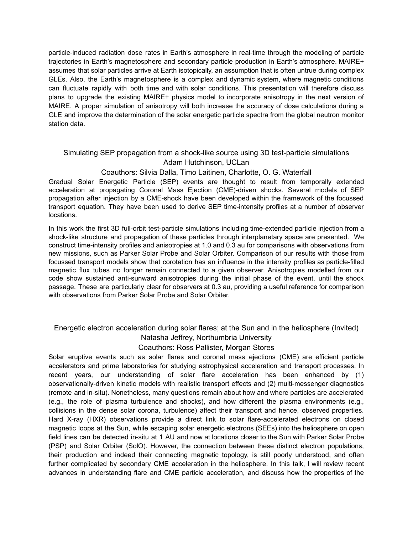particle-induced radiation dose rates in Earth's atmosphere in real-time through the modeling of particle trajectories in Earth's magnetosphere and secondary particle production in Earth's atmosphere. MAIRE+ assumes that solar particles arrive at Earth isotopically, an assumption that is often untrue during complex GLEs. Also, the Earth's magnetosphere is a complex and dynamic system, where magnetic conditions can fluctuate rapidly with both time and with solar conditions. This presentation will therefore discuss plans to upgrade the existing MAIRE+ physics model to incorporate anisotropy in the next version of MAIRE. A proper simulation of anisotropy will both increase the accuracy of dose calculations during a GLE and improve the determination of the solar energetic particle spectra from the global neutron monitor station data.

## Simulating SEP propagation from a shock-like source using 3D test-particle simulations Adam Hutchinson, UCLan

#### Coauthors: Silvia Dalla, Timo Laitinen, Charlotte, O. G. Waterfall

Gradual Solar Energetic Particle (SEP) events are thought to result from temporally extended acceleration at propagating Coronal Mass Ejection (CME)-driven shocks. Several models of SEP propagation after injection by a CME-shock have been developed within the framework of the focussed transport equation. They have been used to derive SEP time-intensity profiles at a number of observer locations.

In this work the first 3D full-orbit test-particle simulations including time-extended particle injection from a shock-like structure and propagation of these particles through interplanetary space are presented. We construct time-intensity profiles and anisotropies at 1.0 and 0.3 au for comparisons with observations from new missions, such as Parker Solar Probe and Solar Orbiter. Comparison of our results with those from focussed transport models show that corotation has an influence in the intensity profiles as particle-filled magnetic flux tubes no longer remain connected to a given observer. Anisotropies modelled from our code show sustained anti-sunward anisotropies during the initial phase of the event, until the shock passage. These are particularly clear for observers at 0.3 au, providing a useful reference for comparison with observations from Parker Solar Probe and Solar Orbiter.

Energetic electron acceleration during solar flares; at the Sun and in the heliosphere (Invited)

Natasha Jeffrey, Northumbria University

Coauthors: Ross Pallister, Morgan Stores

Solar eruptive events such as solar flares and coronal mass ejections (CME) are efficient particle accelerators and prime laboratories for studying astrophysical acceleration and transport processes. In recent years, our understanding of solar flare acceleration has been enhanced by (1) observationally-driven kinetic models with realistic transport effects and (2) multi-messenger diagnostics (remote and in-situ). Nonetheless, many questions remain about how and where particles are accelerated (e.g., the role of plasma turbulence and shocks), and how different the plasma environments (e.g., collisions in the dense solar corona, turbulence) affect their transport and hence, observed properties. Hard X-ray (HXR) observations provide a direct link to solar flare-accelerated electrons on closed magnetic loops at the Sun, while escaping solar energetic electrons (SEEs) into the heliosphere on open field lines can be detected in-situ at 1 AU and now at locations closer to the Sun with Parker Solar Probe (PSP) and Solar Orbiter (SolO). However, the connection between these distinct electron populations, their production and indeed their connecting magnetic topology, is still poorly understood, and often further complicated by secondary CME acceleration in the heliosphere. In this talk, I will review recent advances in understanding flare and CME particle acceleration, and discuss how the properties of the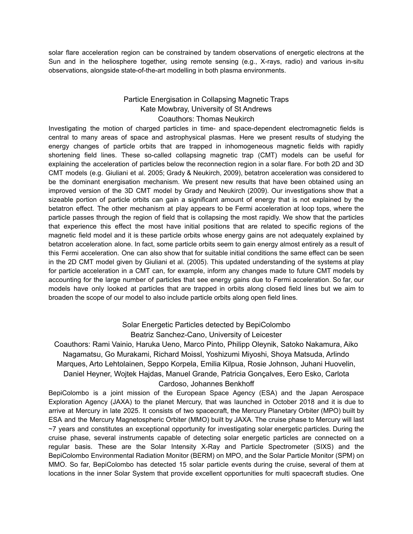solar flare acceleration region can be constrained by tandem observations of energetic electrons at the Sun and in the heliosphere together, using remote sensing (e.g., X-rays, radio) and various in-situ observations, alongside state-of-the-art modelling in both plasma environments.

#### Particle Energisation in Collapsing Magnetic Traps Kate Mowbray, University of St Andrews Coauthors: Thomas Neukirch

Investigating the motion of charged particles in time- and space-dependent electromagnetic fields is central to many areas of space and astrophysical plasmas. Here we present results of studying the energy changes of particle orbits that are trapped in inhomogeneous magnetic fields with rapidly shortening field lines. These so-called collapsing magnetic trap (CMT) models can be useful for explaining the acceleration of particles below the reconnection region in a solar flare. For both 2D and 3D CMT models (e.g. Giuliani et al. 2005; Grady & Neukirch, 2009), betatron acceleration was considered to be the dominant energisation mechanism. We present new results that have been obtained using an improved version of the 3D CMT model by Grady and Neukirch (2009). Our investigations show that a sizeable portion of particle orbits can gain a significant amount of energy that is not explained by the betatron effect. The other mechanism at play appears to be Fermi acceleration at loop tops, where the particle passes through the region of field that is collapsing the most rapidly. We show that the particles that experience this effect the most have initial positions that are related to specific regions of the magnetic field model and it is these particle orbits whose energy gains are not adequately explained by betatron acceleration alone. In fact, some particle orbits seem to gain energy almost entirely as a result of this Fermi acceleration. One can also show that for suitable initial conditions the same effect can be seen in the 2D CMT model given by Giuliani et al. (2005). This updated understanding of the systems at play for particle acceleration in a CMT can, for example, inform any changes made to future CMT models by accounting for the large number of particles that see energy gains due to Fermi acceleration. So far, our models have only looked at particles that are trapped in orbits along closed field lines but we aim to broaden the scope of our model to also include particle orbits along open field lines.

> Solar Energetic Particles detected by BepiColombo Beatriz Sanchez-Cano, University of Leicester

Coauthors: Rami Vainio, Haruka Ueno, Marco Pinto, Philipp Oleynik, Satoko Nakamura, Aiko Nagamatsu, Go Murakami, Richard Moissl, Yoshizumi Miyoshi, Shoya Matsuda, Arlindo Marques, Arto Lehtolainen, Seppo Korpela, Emilia Kilpua, Rosie Johnson, Juhani Huovelin, Daniel Heyner, Wojtek Hajdas, Manuel Grande, Patricia Gonçalves, Eero Esko, Carlota Cardoso, Johannes Benkhoff

BepiColombo is a joint mission of the European Space Agency (ESA) and the Japan Aerospace Exploration Agency (JAXA) to the planet Mercury, that was launched in October 2018 and it is due to arrive at Mercury in late 2025. It consists of two spacecraft, the Mercury Planetary Orbiter (MPO) built by ESA and the Mercury Magnetospheric Orbiter (MMO) built by JAXA. The cruise phase to Mercury will last ~7 years and constitutes an exceptional opportunity for investigating solar energetic particles. During the cruise phase, several instruments capable of detecting solar energetic particles are connected on a regular basis. These are the Solar Intensity X-Ray and Particle Spectrometer (SIXS) and the BepiColombo Environmental Radiation Monitor (BERM) on MPO, and the Solar Particle Monitor (SPM) on MMO. So far, BepiColombo has detected 15 solar particle events during the cruise, several of them at locations in the inner Solar System that provide excellent opportunities for multi spacecraft studies. One